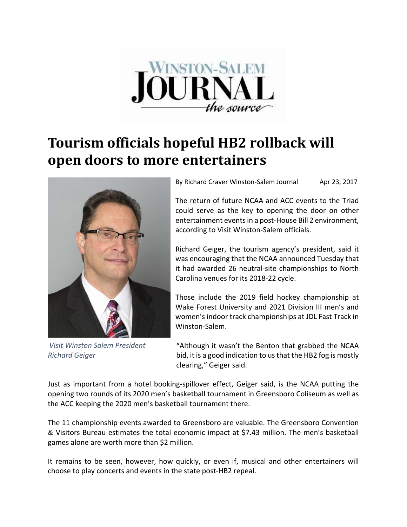

## **Tourism officials hopeful HB2 rollback will open doors to more entertainers**



*Visit Winston Salem President Richard Geiger*

By Richard Craver Winston‐Salem Journal Apr 23, 2017

The return of future NCAA and ACC events to the Triad could serve as the key to opening the door on other entertainment events in a post-House Bill 2 environment, according to Visit Winston‐Salem officials.

Richard Geiger, the tourism agency's president, said it was encouraging that the NCAA announced Tuesday that it had awarded 26 neutral‐site championships to North Carolina venues for its 2018‐22 cycle.

Those include the 2019 field hockey championship at Wake Forest University and 2021 Division III men's and women's indoor track championships at JDL Fast Track in Winston‐Salem.

"Although it wasn't the Benton that grabbed the NCAA bid, it is a good indication to us that the HB2 fog is mostly clearing," Geiger said.

Just as important from a hotel booking‐spillover effect, Geiger said, is the NCAA putting the opening two rounds of its 2020 men's basketball tournament in Greensboro Coliseum as well as the ACC keeping the 2020 men's basketball tournament there.

The 11 championship events awarded to Greensboro are valuable. The Greensboro Convention & Visitors Bureau estimates the total economic impact at \$7.43 million. The men's basketball games alone are worth more than \$2 million.

It remains to be seen, however, how quickly, or even if, musical and other entertainers will choose to play concerts and events in the state post‐HB2 repeal.